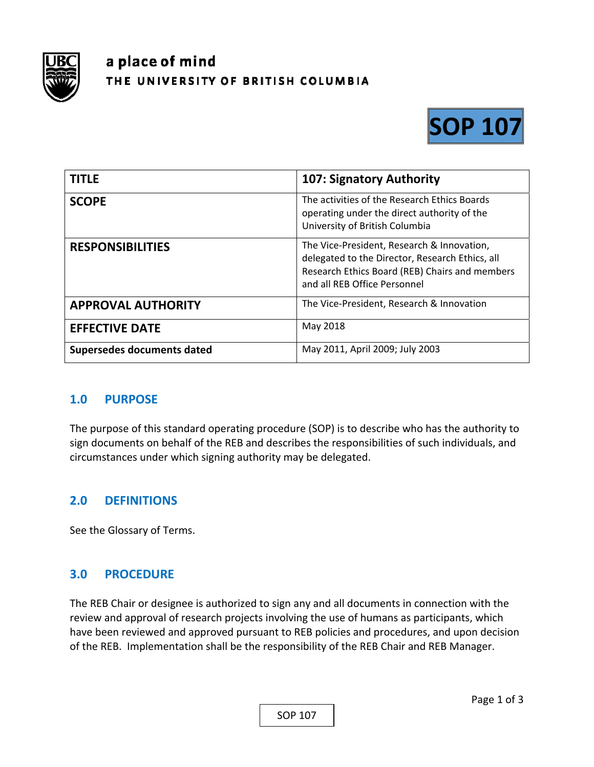

# a place of mind THE UNIVERSITY OF BRITISH COLUMBIA



| <b>TITLE</b>               | 107: Signatory Authority                                                                                                                                                        |
|----------------------------|---------------------------------------------------------------------------------------------------------------------------------------------------------------------------------|
| <b>SCOPE</b>               | The activities of the Research Ethics Boards<br>operating under the direct authority of the<br>University of British Columbia                                                   |
| <b>RESPONSIBILITIES</b>    | The Vice-President, Research & Innovation,<br>delegated to the Director, Research Ethics, all<br>Research Ethics Board (REB) Chairs and members<br>and all REB Office Personnel |
| <b>APPROVAL AUTHORITY</b>  | The Vice-President, Research & Innovation                                                                                                                                       |
| <b>EFFECTIVE DATE</b>      | May 2018                                                                                                                                                                        |
| Supersedes documents dated | May 2011, April 2009; July 2003                                                                                                                                                 |

#### **1.0 PURPOSE**

The purpose of this standard operating procedure (SOP) is to describe who has the authority to sign documents on behalf of the REB and describes the responsibilities of such individuals, and circumstances under which signing authority may be delegated.

### **2.0 DEFINITIONS**

See the Glossary of Terms.

### **3.0 PROCEDURE**

The REB Chair or designee is authorized to sign any and all documents in connection with the review and approval of research projects involving the use of humans as participants, which have been reviewed and approved pursuant to REB policies and procedures, and upon decision of the REB. Implementation shall be the responsibility of the REB Chair and REB Manager.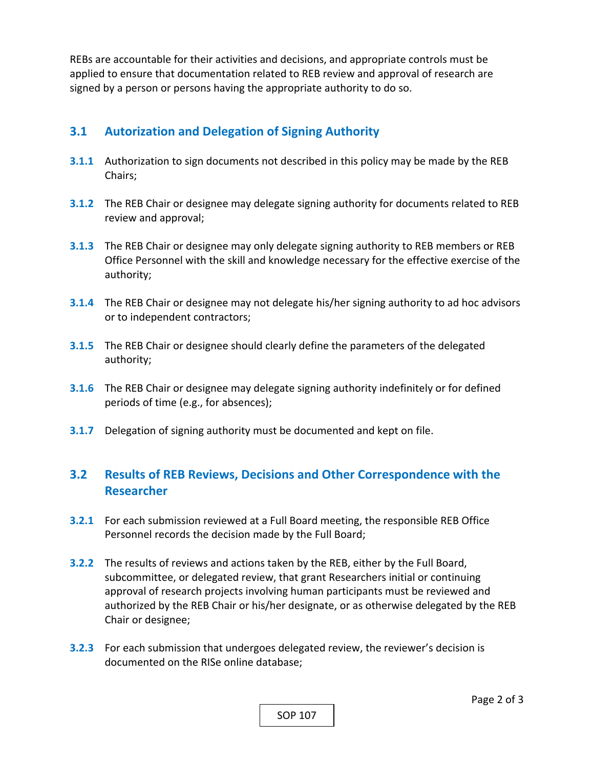REBs are accountable for their activities and decisions, and appropriate controls must be applied to ensure that documentation related to REB review and approval of research are signed by a person or persons having the appropriate authority to do so.

## **3.1 Autorization and Delegation of Signing Authority**

- **3.1.1** Authorization to sign documents not described in this policy may be made by the REB Chairs;
- **3.1.2**  The REB Chair or designee may delegate signing authority for documents related to REB review and approval;
- **3.1.3**  The REB Chair or designee may only delegate signing authority to REB members or REB Office Personnel with the skill and knowledge necessary for the effective exercise of the authority;
- **3.1.4** The REB Chair or designee may not delegate his/her signing authority to ad hoc advisors or to independent contractors;
- **3.1.5**  The REB Chair or designee should clearly define the parameters of the delegated authority;
- **3.1.6**  The REB Chair or designee may delegate signing authority indefinitely or for defined periods of time (e.g., for absences);
- **3.1.7**  Delegation of signing authority must be documented and kept on file.

## **3.2 Results of REB Reviews, Decisions and Other Correspondence with the Researcher**

- **3.2.1**  For each submission reviewed at a Full Board meeting, the responsible REB Office Personnel records the decision made by the Full Board;
- **3.2.2**  The results of reviews and actions taken by the REB, either by the Full Board, subcommittee, or delegated review, that grant Researchers initial or continuing approval of research projects involving human participants must be reviewed and authorized by the REB Chair or his/her designate, or as otherwise delegated by the REB Chair or designee;
- **3.2.3**  For each submission that undergoes delegated review, the reviewer's decision is documented on the RISe online database;